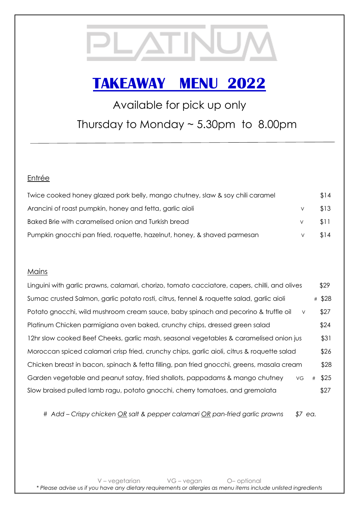# **TAKEAWAY MENU 2022**

Available for pick up only Thursday to Monday  $\sim$  5.30pm to 8.00pm

### Entrée

| Twice cooked honey glazed pork belly, mango chutney, slaw & soy chili caramel | \$14 |
|-------------------------------------------------------------------------------|------|
| Arancini of roast pumpkin, honey and fetta, garlic aioli                      | \$13 |
| Baked Brie with caramelised onion and Turkish bread                           | \$11 |
| Pumpkin gnocchi pan fried, roquette, hazelnut, honey, & shaved parmesan       | \$14 |

#### Mains

| Linguini with garlic prawns, calamari, chorizo, tomato cacciatore, capers, chilli, and olives |   | \$29   |
|-----------------------------------------------------------------------------------------------|---|--------|
| Sumac crusted Salmon, garlic potato rosti, citrus, fennel & roquette salad, garlic aioli      |   | # \$28 |
| Potato gnocchi, wild mushroom cream sauce, baby spinach and pecorino & truffle oil<br>$\vee$  |   | \$27   |
| Platinum Chicken parmigiana oven baked, crunchy chips, dressed green salad                    |   | \$24   |
| 12hr slow cooked Beef Cheeks, garlic mash, seasonal vegetables & caramelised onion jus        |   | \$31   |
| Moroccan spiced calamari crisp fried, crunchy chips, garlic aioli, citrus & roquette salad    |   | \$26   |
| Chicken breast in bacon, spinach & fetta filling, pan fried gnocchi, greens, masala cream     |   | \$28   |
| Garden vegetable and peanut satay, fried shallots, pappadams & mango chutney<br>VG.           | # | \$25   |
| Slow braised pulled lamb ragu, potato gnocchi, cherry tomatoes, and gremolata                 |   | \$27   |

 *# Add – Crispy chicken OR salt & pepper calamari OR pan-fried garlic prawns \$7 ea.*